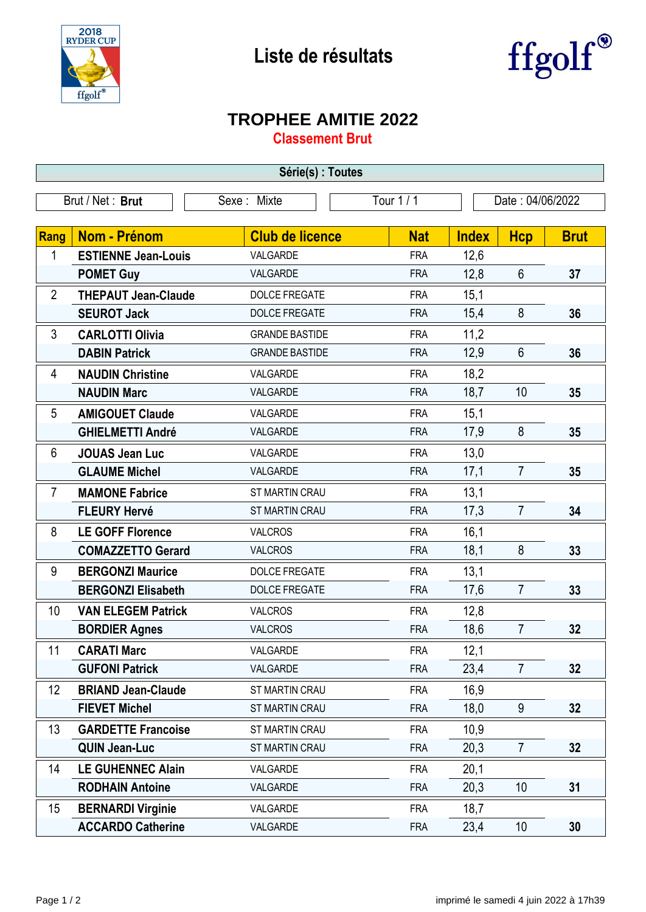

## **Liste de résultats**



## **TROPHEE AMITIE 2022**

**Classement Brut**

| Série(s) : Toutes               |                            |                        |            |                  |                |             |  |  |  |
|---------------------------------|----------------------------|------------------------|------------|------------------|----------------|-------------|--|--|--|
| Brut / Net: Brut<br>Sexe: Mixte |                            |                        | Tour 1 / 1 | Date: 04/06/2022 |                |             |  |  |  |
|                                 |                            |                        |            |                  |                |             |  |  |  |
| <b>Rang</b>                     | <b>Nom - Prénom</b>        | <b>Club de licence</b> | <b>Nat</b> | <b>Index</b>     | <b>Hcp</b>     | <b>Brut</b> |  |  |  |
| 1                               | <b>ESTIENNE Jean-Louis</b> | VALGARDE               | <b>FRA</b> | 12,6             |                |             |  |  |  |
|                                 | <b>POMET Guy</b>           | VALGARDE               | <b>FRA</b> | 12,8             | $6\phantom{1}$ | 37          |  |  |  |
| $\overline{2}$                  | <b>THEPAUT Jean-Claude</b> | <b>DOLCE FREGATE</b>   | <b>FRA</b> | 15,1             |                |             |  |  |  |
|                                 | <b>SEUROT Jack</b>         | <b>DOLCE FREGATE</b>   | <b>FRA</b> | 15,4             | 8              | 36          |  |  |  |
| 3                               | <b>CARLOTTI Olivia</b>     | <b>GRANDE BASTIDE</b>  | <b>FRA</b> | 11,2             |                |             |  |  |  |
|                                 | <b>DABIN Patrick</b>       | <b>GRANDE BASTIDE</b>  | <b>FRA</b> | 12,9             | $6\phantom{1}$ | 36          |  |  |  |
| 4                               | <b>NAUDIN Christine</b>    | VALGARDE               | <b>FRA</b> | 18,2             |                |             |  |  |  |
|                                 | <b>NAUDIN Marc</b>         | VALGARDE               | <b>FRA</b> | 18,7             | 10             | 35          |  |  |  |
| 5                               | <b>AMIGOUET Claude</b>     | VALGARDE               | <b>FRA</b> | 15,1             |                |             |  |  |  |
|                                 | <b>GHIELMETTI André</b>    | VALGARDE               | <b>FRA</b> | 17,9             | 8              | 35          |  |  |  |
| 6                               | <b>JOUAS Jean Luc</b>      | VALGARDE               | <b>FRA</b> | 13,0             |                |             |  |  |  |
|                                 | <b>GLAUME Michel</b>       | VALGARDE               | <b>FRA</b> | 17,1             | $\overline{7}$ | 35          |  |  |  |
| 7                               | <b>MAMONE Fabrice</b>      | ST MARTIN CRAU         | <b>FRA</b> | 13,1             |                |             |  |  |  |
|                                 | <b>FLEURY Hervé</b>        | ST MARTIN CRAU         | <b>FRA</b> | 17,3             | $\overline{7}$ | 34          |  |  |  |
| 8                               | <b>LE GOFF Florence</b>    | <b>VALCROS</b>         | <b>FRA</b> | 16,1             |                |             |  |  |  |
|                                 | <b>COMAZZETTO Gerard</b>   | <b>VALCROS</b>         | <b>FRA</b> | 18,1             | 8              | 33          |  |  |  |
| 9                               | <b>BERGONZI Maurice</b>    | <b>DOLCE FREGATE</b>   | <b>FRA</b> | 13,1             |                |             |  |  |  |
|                                 | <b>BERGONZI Elisabeth</b>  | <b>DOLCE FREGATE</b>   | <b>FRA</b> | 17,6             | $\overline{7}$ | 33          |  |  |  |
| 10                              | <b>VAN ELEGEM Patrick</b>  | <b>VALCROS</b>         | <b>FRA</b> | 12,8             |                |             |  |  |  |
|                                 | <b>BORDIER Agnes</b>       | <b>VALCROS</b>         | <b>FRA</b> | 18,6             | $\overline{7}$ | 32          |  |  |  |
| 11                              | <b>CARATI Marc</b>         | VALGARDE               | <b>FRA</b> | 12,1             |                |             |  |  |  |
|                                 | <b>GUFONI Patrick</b>      | VALGARDE               | <b>FRA</b> | 23,4             | $\overline{7}$ | 32          |  |  |  |
| 12                              | <b>BRIAND Jean-Claude</b>  | ST MARTIN CRAU         | <b>FRA</b> | 16,9             |                |             |  |  |  |
|                                 | <b>FIEVET Michel</b>       | ST MARTIN CRAU         | <b>FRA</b> | 18,0             | $9\,$          | 32          |  |  |  |
| 13                              | <b>GARDETTE Francoise</b>  | ST MARTIN CRAU         | <b>FRA</b> | 10,9             |                |             |  |  |  |
|                                 | <b>QUIN Jean-Luc</b>       | ST MARTIN CRAU         | <b>FRA</b> | 20,3             | $\overline{7}$ | 32          |  |  |  |
| 14                              | <b>LE GUHENNEC Alain</b>   | VALGARDE               | <b>FRA</b> | 20,1             |                |             |  |  |  |
|                                 | <b>RODHAIN Antoine</b>     | VALGARDE               | <b>FRA</b> | 20,3             | 10             | 31          |  |  |  |
| 15                              | <b>BERNARDI Virginie</b>   | VALGARDE               | <b>FRA</b> | 18,7             |                |             |  |  |  |
|                                 | <b>ACCARDO Catherine</b>   | VALGARDE               | <b>FRA</b> | 23,4             | 10             | 30          |  |  |  |